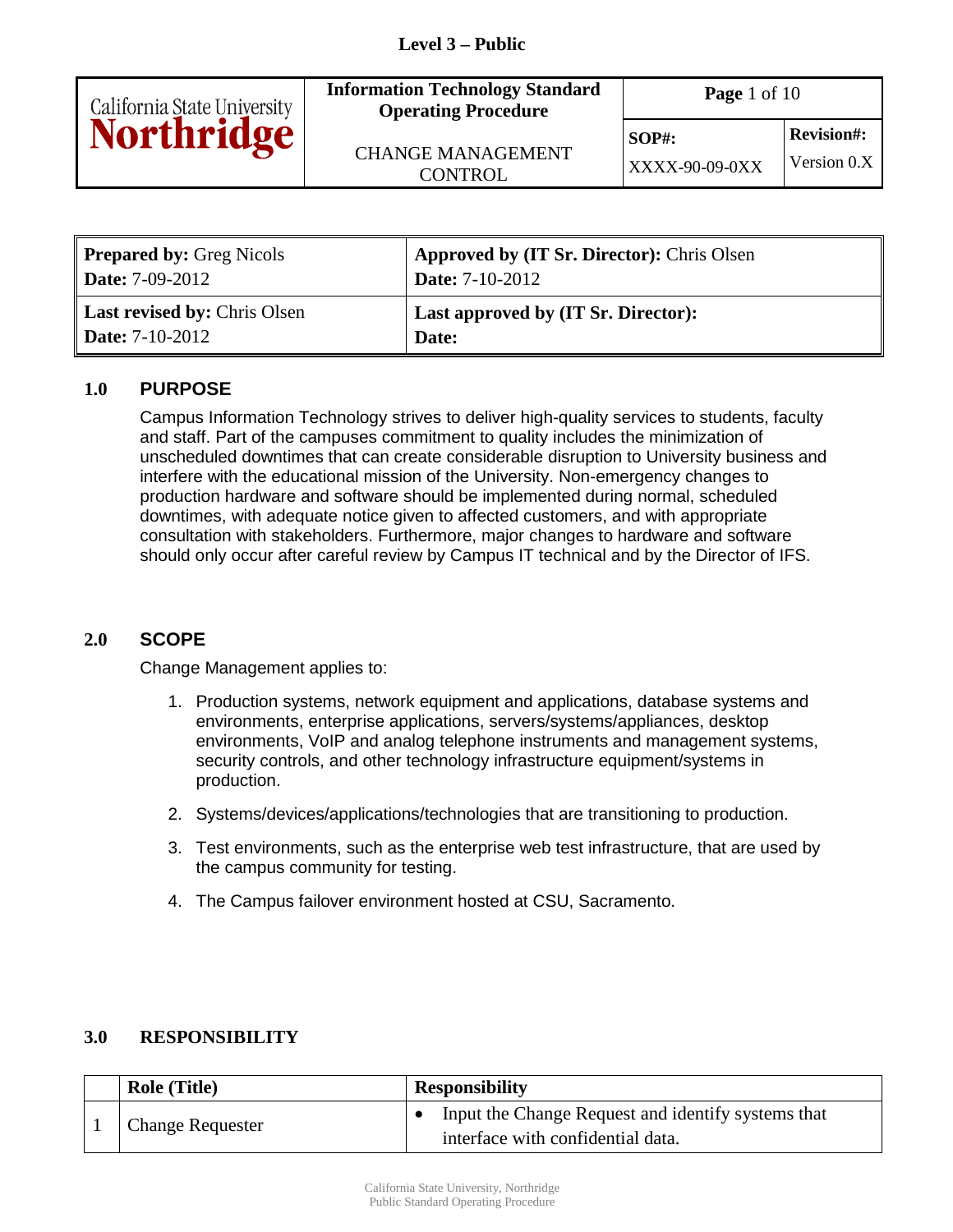| California State University<br><b>Northridge</b> | <b>Information Technology Standard</b><br><b>Operating Procedure</b> | <b>Page</b> 1 of 10               |                                  |
|--------------------------------------------------|----------------------------------------------------------------------|-----------------------------------|----------------------------------|
|                                                  | <b>CHANGE MANAGEMENT</b><br>CONTROL                                  | $SOP#$ :<br><b>XXXX-90-09-0XX</b> | <b>Revision#:</b><br>Version 0.X |

| <b>Prepared by: Greg Nicols</b>     | <b>Approved by (IT Sr. Director):</b> Chris Olsen |
|-------------------------------------|---------------------------------------------------|
| <b>Date:</b> $7-09-2012$            | <b>Date:</b> $7-10-2012$                          |
| <b>Last revised by: Chris Olsen</b> | <b>Last approved by (IT Sr. Director):</b>        |
| <b>Date:</b> $7-10-2012$            | Date:                                             |

#### **1.0 PURPOSE**

Campus Information Technology strives to deliver high-quality services to students, faculty and staff. Part of the campuses commitment to quality includes the minimization of unscheduled downtimes that can create considerable disruption to University business and interfere with the educational mission of the University. Non-emergency changes to production hardware and software should be implemented during normal, scheduled downtimes, with adequate notice given to affected customers, and with appropriate consultation with stakeholders. Furthermore, major changes to hardware and software should only occur after careful review by Campus IT technical and by the Director of IFS.

## **2.0 SCOPE**

Change Management applies to:

- 1. Production systems, network equipment and applications, database systems and environments, enterprise applications, servers/systems/appliances, desktop environments, VoIP and analog telephone instruments and management systems, security controls, and other technology infrastructure equipment/systems in production.
- 2. Systems/devices/applications/technologies that are transitioning to production.
- 3. Test environments, such as the enterprise web test infrastructure, that are used by the campus community for testing.
- 4. The Campus failover environment hosted at CSU, Sacramento.

## **3.0 RESPONSIBILITY**

| <b>Role (Title)</b>     | <b>Responsibility</b> |                                                    |
|-------------------------|-----------------------|----------------------------------------------------|
| <b>Change Requester</b> |                       | Input the Change Request and identify systems that |
|                         |                       | interface with confidential data.                  |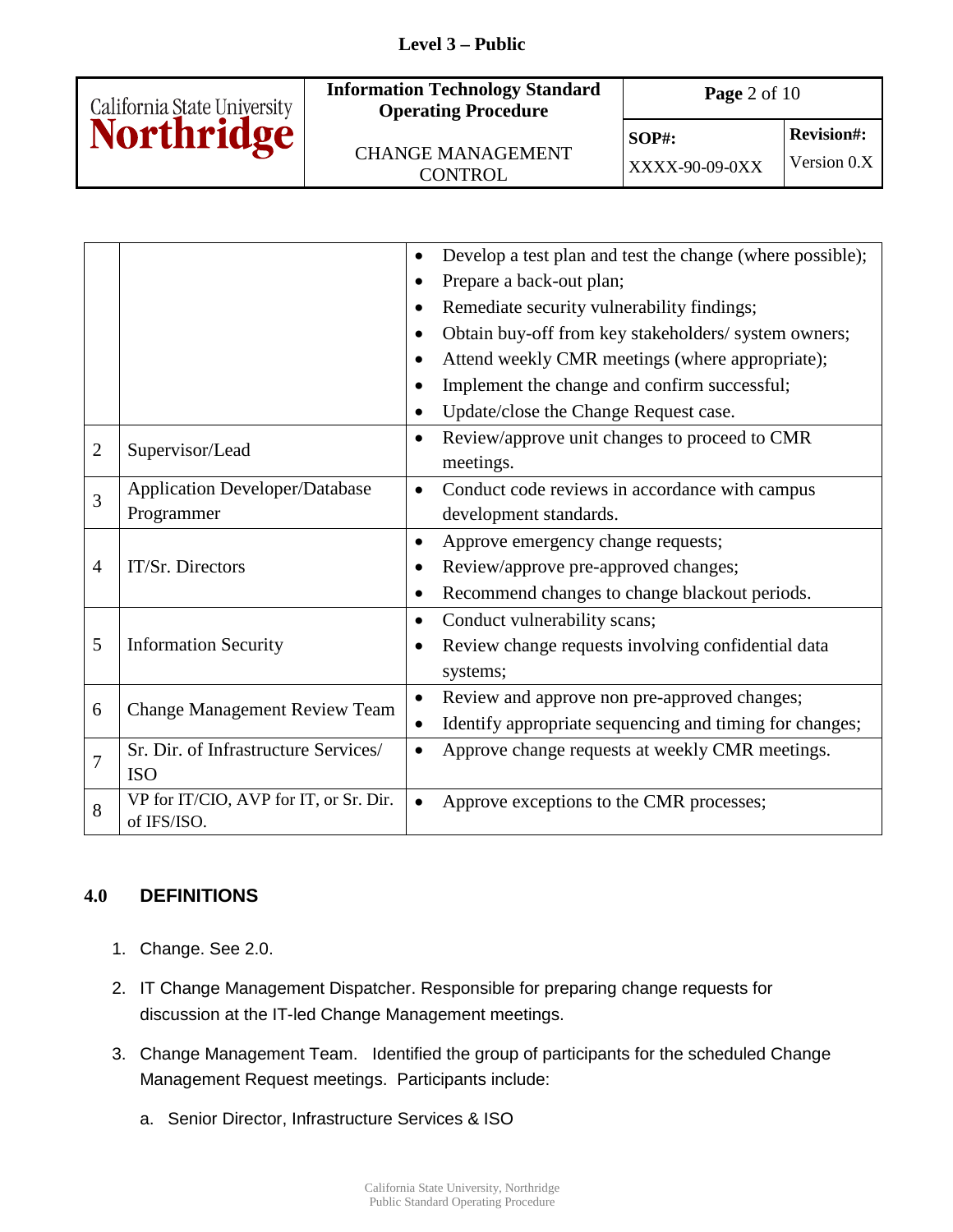

 $\overline{\text{XXX} - 90 - 09 - 0\text{XX}}$  Version 0.X

**SOP#: Revision#:** 

|                |                                        |                                                                             | Develop a test plan and test the change (where possible); |  |  |
|----------------|----------------------------------------|-----------------------------------------------------------------------------|-----------------------------------------------------------|--|--|
|                |                                        |                                                                             |                                                           |  |  |
|                |                                        | Prepare a back-out plan;<br>Remediate security vulnerability findings;<br>٠ |                                                           |  |  |
|                |                                        |                                                                             |                                                           |  |  |
|                |                                        | Obtain buy-off from key stakeholders/ system owners;                        |                                                           |  |  |
|                |                                        |                                                                             | Attend weekly CMR meetings (where appropriate);           |  |  |
|                |                                        |                                                                             | Implement the change and confirm successful;              |  |  |
|                |                                        |                                                                             | Update/close the Change Request case.                     |  |  |
| $\overline{2}$ | Supervisor/Lead                        | ٠                                                                           | Review/approve unit changes to proceed to CMR             |  |  |
|                |                                        |                                                                             | meetings.                                                 |  |  |
| 3              | <b>Application Developer/Database</b>  |                                                                             | Conduct code reviews in accordance with campus            |  |  |
|                | Programmer                             |                                                                             | development standards.                                    |  |  |
|                |                                        | ٠                                                                           | Approve emergency change requests;                        |  |  |
| $\overline{4}$ | IT/Sr. Directors                       |                                                                             | Review/approve pre-approved changes;                      |  |  |
|                |                                        | $\bullet$                                                                   | Recommend changes to change blackout periods.             |  |  |
|                |                                        | $\bullet$                                                                   | Conduct vulnerability scans;                              |  |  |
| 5              | <b>Information Security</b>            |                                                                             | Review change requests involving confidential data        |  |  |
|                |                                        |                                                                             | systems;                                                  |  |  |
| 6              | <b>Change Management Review Team</b>   |                                                                             | Review and approve non pre-approved changes;              |  |  |
|                |                                        | ٠                                                                           | Identify appropriate sequencing and timing for changes;   |  |  |
| 7              | Sr. Dir. of Infrastructure Services/   |                                                                             | Approve change requests at weekly CMR meetings.           |  |  |
|                | <b>ISO</b>                             |                                                                             |                                                           |  |  |
| 8              | VP for IT/CIO, AVP for IT, or Sr. Dir. |                                                                             | Approve exceptions to the CMR processes;                  |  |  |
|                | of IFS/ISO.                            |                                                                             |                                                           |  |  |

## **4.0 DEFINITIONS**

- 1. Change. See 2.0.
- 2. IT Change Management Dispatcher. Responsible for preparing change requests for discussion at the IT-led Change Management meetings.
- 3. Change Management Team. Identified the group of participants for the scheduled Change Management Request meetings. Participants include:
	- a. Senior Director, Infrastructure Services & ISO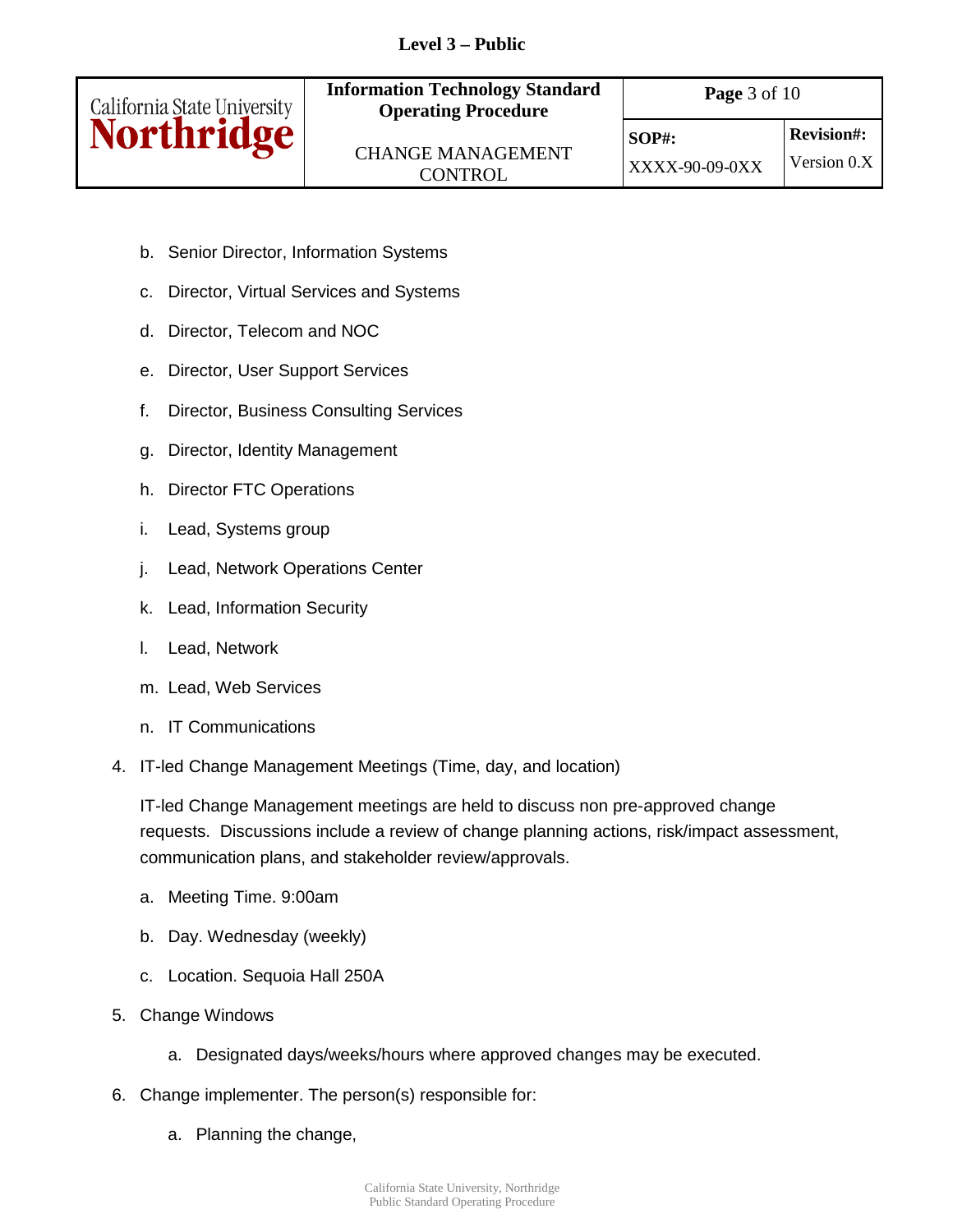

- b. Senior Director, Information Systems
- c. Director, Virtual Services and Systems
- d. Director, Telecom and NOC
- e. Director, User Support Services
- f. Director, Business Consulting Services
- g. Director, Identity Management
- h. Director FTC Operations
- i. Lead, Systems group
- j. Lead, Network Operations Center
- k. Lead, Information Security
- l. Lead, Network
- m. Lead, Web Services
- n. IT Communications
- 4. IT-led Change Management Meetings (Time, day, and location)

IT-led Change Management meetings are held to discuss non pre-approved change requests. Discussions include a review of change planning actions, risk/impact assessment, communication plans, and stakeholder review/approvals.

- a. Meeting Time. 9:00am
- b. Day. Wednesday (weekly)
- c. Location. Sequoia Hall 250A
- 5. Change Windows
	- a. Designated days/weeks/hours where approved changes may be executed.
- 6. Change implementer. The person(s) responsible for:
	- a. Planning the change,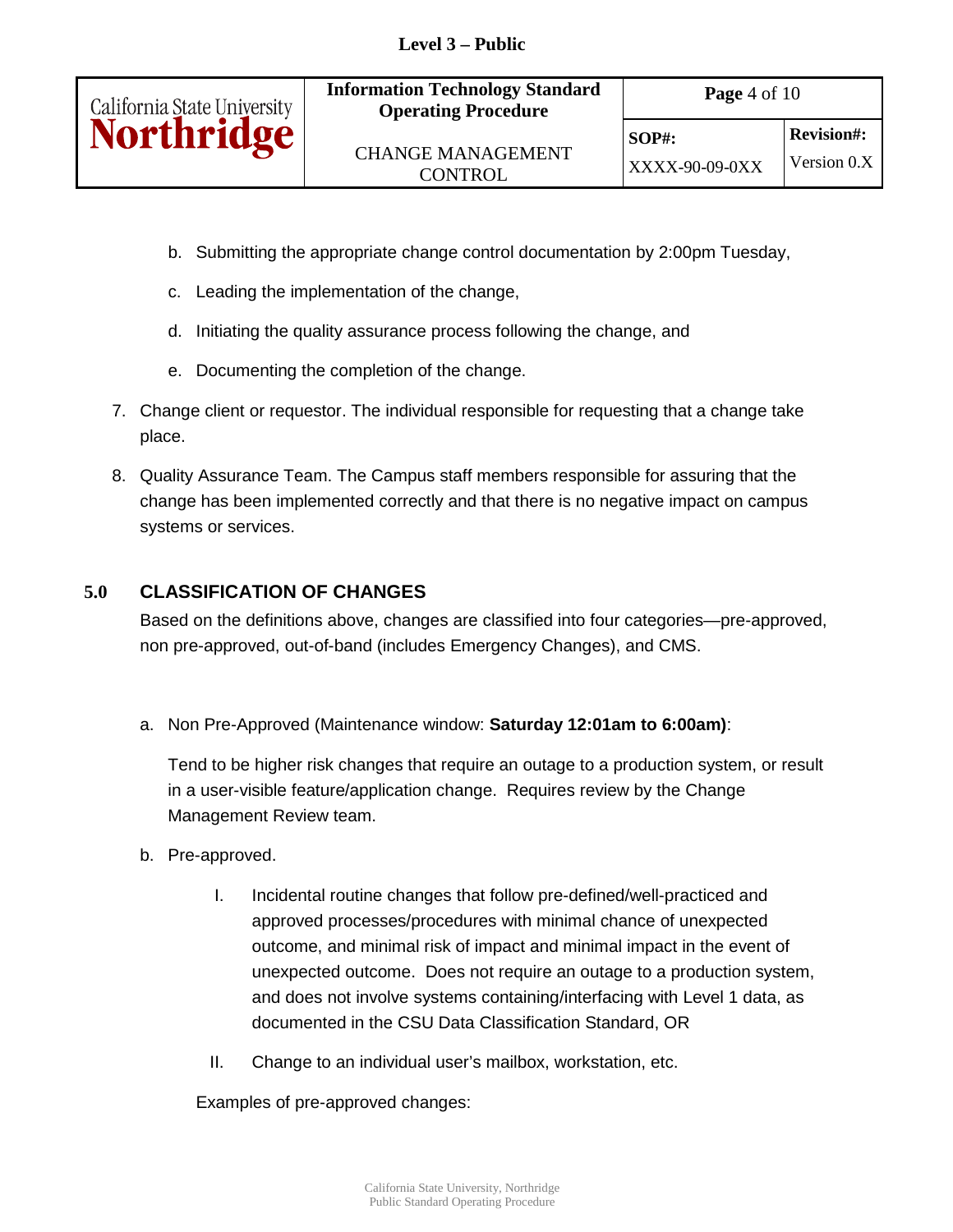

- b. Submitting the appropriate change control documentation by 2:00pm Tuesday,
- c. Leading the implementation of the change,
- d. Initiating the quality assurance process following the change, and
- e. Documenting the completion of the change.
- 7. Change client or requestor. The individual responsible for requesting that a change take place.
- 8. Quality Assurance Team. The Campus staff members responsible for assuring that the change has been implemented correctly and that there is no negative impact on campus systems or services.

## **5.0 CLASSIFICATION OF CHANGES**

Based on the definitions above, changes are classified into four categories—pre-approved, non pre-approved, out-of-band (includes Emergency Changes), and CMS.

a. Non Pre-Approved (Maintenance window: **Saturday 12:01am to 6:00am)**:

Tend to be higher risk changes that require an outage to a production system, or result in a user-visible feature/application change. Requires review by the Change Management Review team.

- b. Pre-approved.
	- I. Incidental routine changes that follow pre-defined/well-practiced and approved processes/procedures with minimal chance of unexpected outcome, and minimal risk of impact and minimal impact in the event of unexpected outcome. Does not require an outage to a production system, and does not involve systems containing/interfacing with Level 1 data, as documented in the CSU Data Classification Standard, OR
	- II. Change to an individual user's mailbox, workstation, etc.

Examples of pre-approved changes: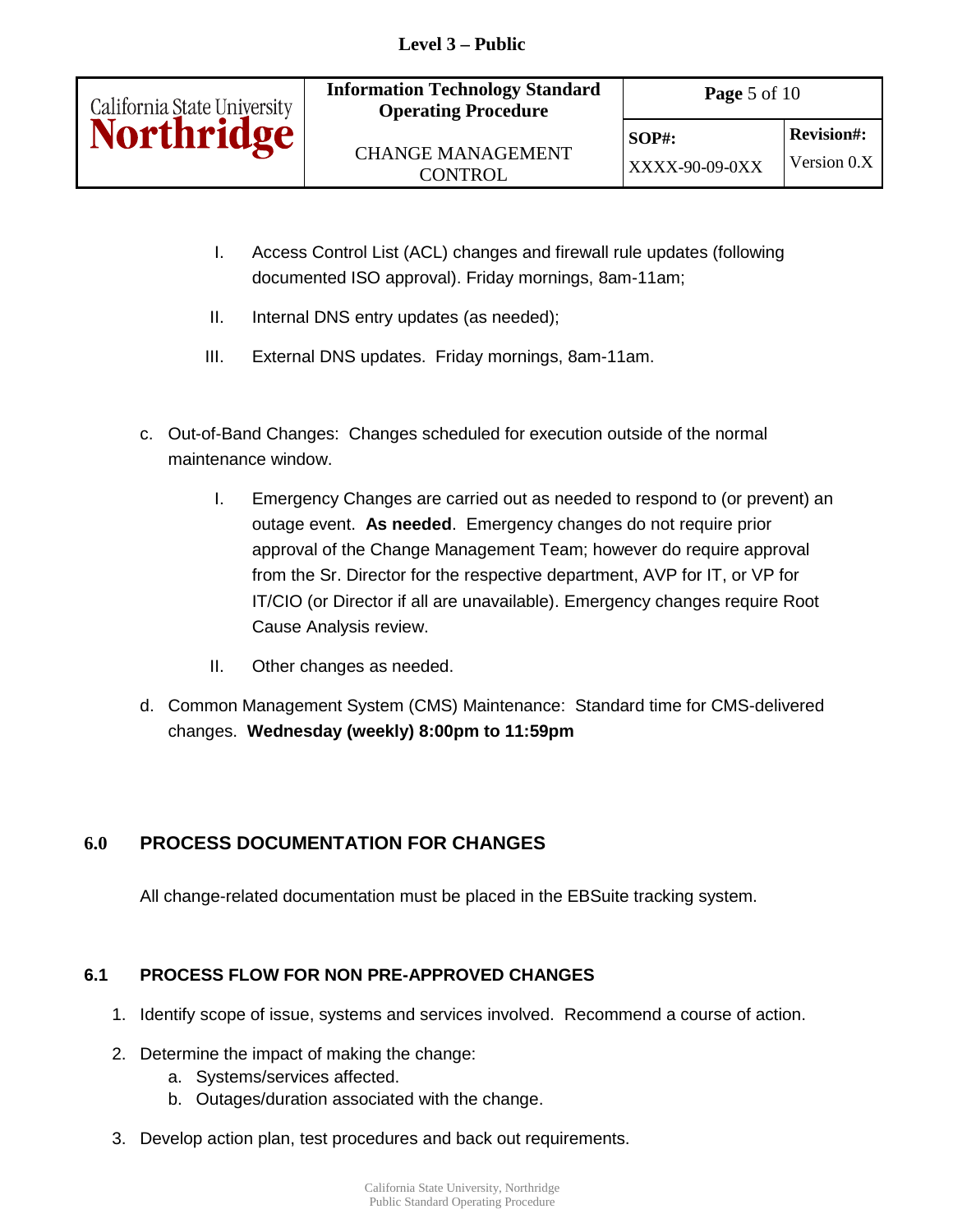| California State University<br><b>Northridge</b> | <b>Information Technology Standard</b><br><b>Operating Procedure</b> | <b>Page</b> 5 of 10        |                                    |  |
|--------------------------------------------------|----------------------------------------------------------------------|----------------------------|------------------------------------|--|
|                                                  | <b>CHANGE MANAGEMENT</b><br><b>CONTROL</b>                           | $SOP#$ :<br>XXXX-90-09-0XX | <b>Revision#:</b><br>Version $0.X$ |  |
|                                                  |                                                                      |                            |                                    |  |

- I. Access Control List (ACL) changes and firewall rule updates (following documented ISO approval). Friday mornings, 8am-11am;
- II. Internal DNS entry updates (as needed);
- III. External DNS updates. Friday mornings, 8am-11am.
- c. Out-of-Band Changes: Changes scheduled for execution outside of the normal maintenance window.
	- I. Emergency Changes are carried out as needed to respond to (or prevent) an outage event. **As needed**. Emergency changes do not require prior approval of the Change Management Team; however do require approval from the Sr. Director for the respective department, AVP for IT, or VP for IT/CIO (or Director if all are unavailable). Emergency changes require Root Cause Analysis review.
	- II. Other changes as needed.
- d. Common Management System (CMS) Maintenance: Standard time for CMS-delivered changes. **Wednesday (weekly) 8:00pm to 11:59pm**

# **6.0 PROCESS DOCUMENTATION FOR CHANGES**

All change-related documentation must be placed in the EBSuite tracking system.

## **6.1 PROCESS FLOW FOR NON PRE-APPROVED CHANGES**

- 1. Identify scope of issue, systems and services involved. Recommend a course of action.
- 2. Determine the impact of making the change:
	- a. Systems/services affected.
	- b. Outages/duration associated with the change.
- 3. Develop action plan, test procedures and back out requirements.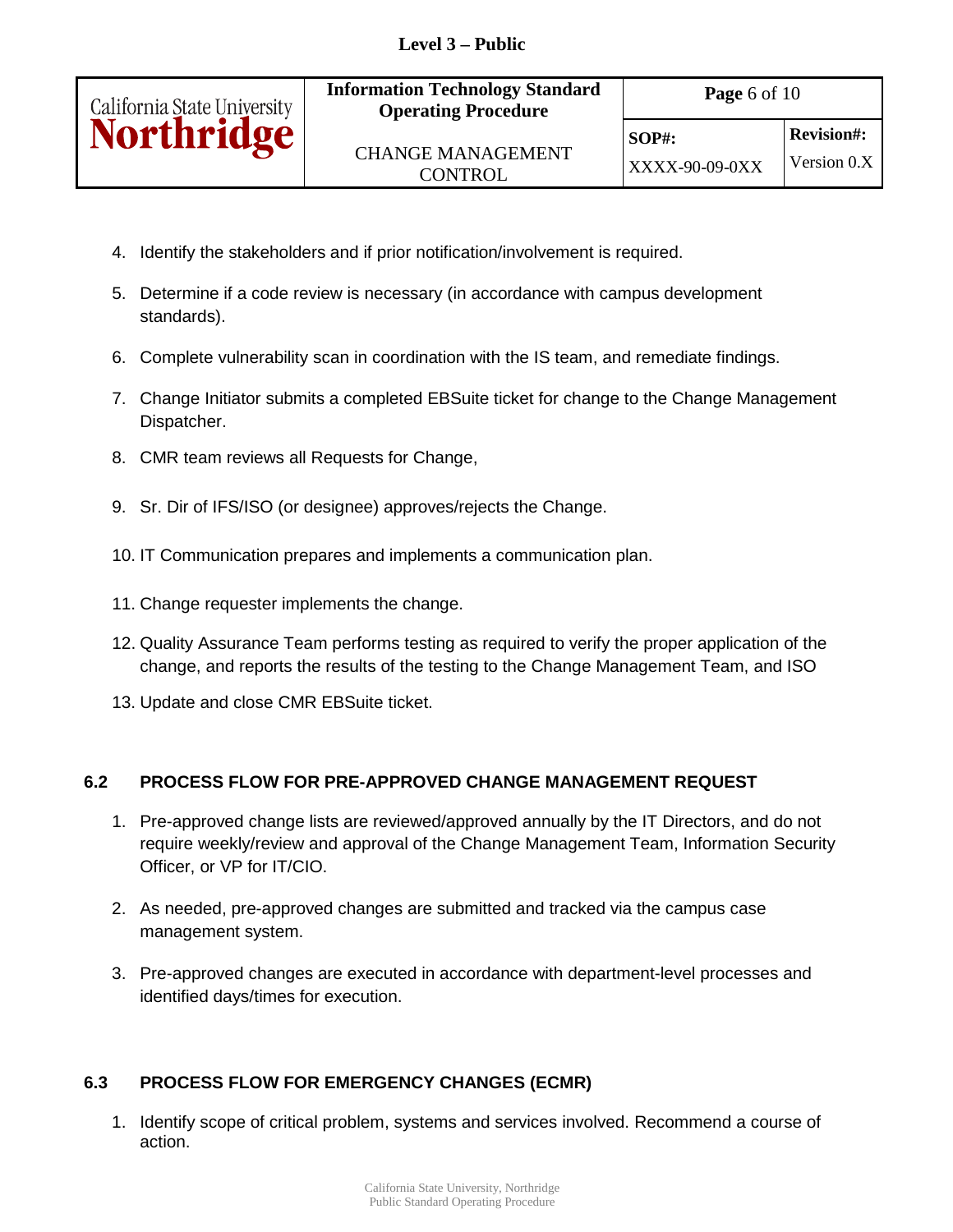| California State University<br><b>Northridge</b> | <b>Information Technology Standard</b><br><b>Operating Procedure</b> | <b>Page</b> 6 of 10        |                                  |  |
|--------------------------------------------------|----------------------------------------------------------------------|----------------------------|----------------------------------|--|
|                                                  | <b>CHANGE MANAGEMENT</b><br><b>CONTROL</b>                           | $SOP#$ :<br>XXXX-90-09-0XX | <b>Revision#:</b><br>Version 0.X |  |
|                                                  |                                                                      |                            |                                  |  |

- 4. Identify the stakeholders and if prior notification/involvement is required.
- 5. Determine if a code review is necessary (in accordance with campus development standards).
- 6. Complete vulnerability scan in coordination with the IS team, and remediate findings.
- 7. Change Initiator submits a completed EBSuite ticket for change to the Change Management Dispatcher.
- 8. CMR team reviews all Requests for Change,
- 9. Sr. Dir of IFS/ISO (or designee) approves/rejects the Change.
- 10. IT Communication prepares and implements a communication plan.
- 11. Change requester implements the change.
- 12. Quality Assurance Team performs testing as required to verify the proper application of the change, and reports the results of the testing to the Change Management Team, and ISO
- 13. Update and close CMR EBSuite ticket.

## **6.2 PROCESS FLOW FOR PRE-APPROVED CHANGE MANAGEMENT REQUEST**

- 1. Pre-approved change lists are reviewed/approved annually by the IT Directors, and do not require weekly/review and approval of the Change Management Team, Information Security Officer, or VP for IT/CIO.
- 2. As needed, pre-approved changes are submitted and tracked via the campus case management system.
- 3. Pre-approved changes are executed in accordance with department-level processes and identified days/times for execution.

# **6.3 PROCESS FLOW FOR EMERGENCY CHANGES (ECMR)**

1. Identify scope of critical problem, systems and services involved. Recommend a course of action.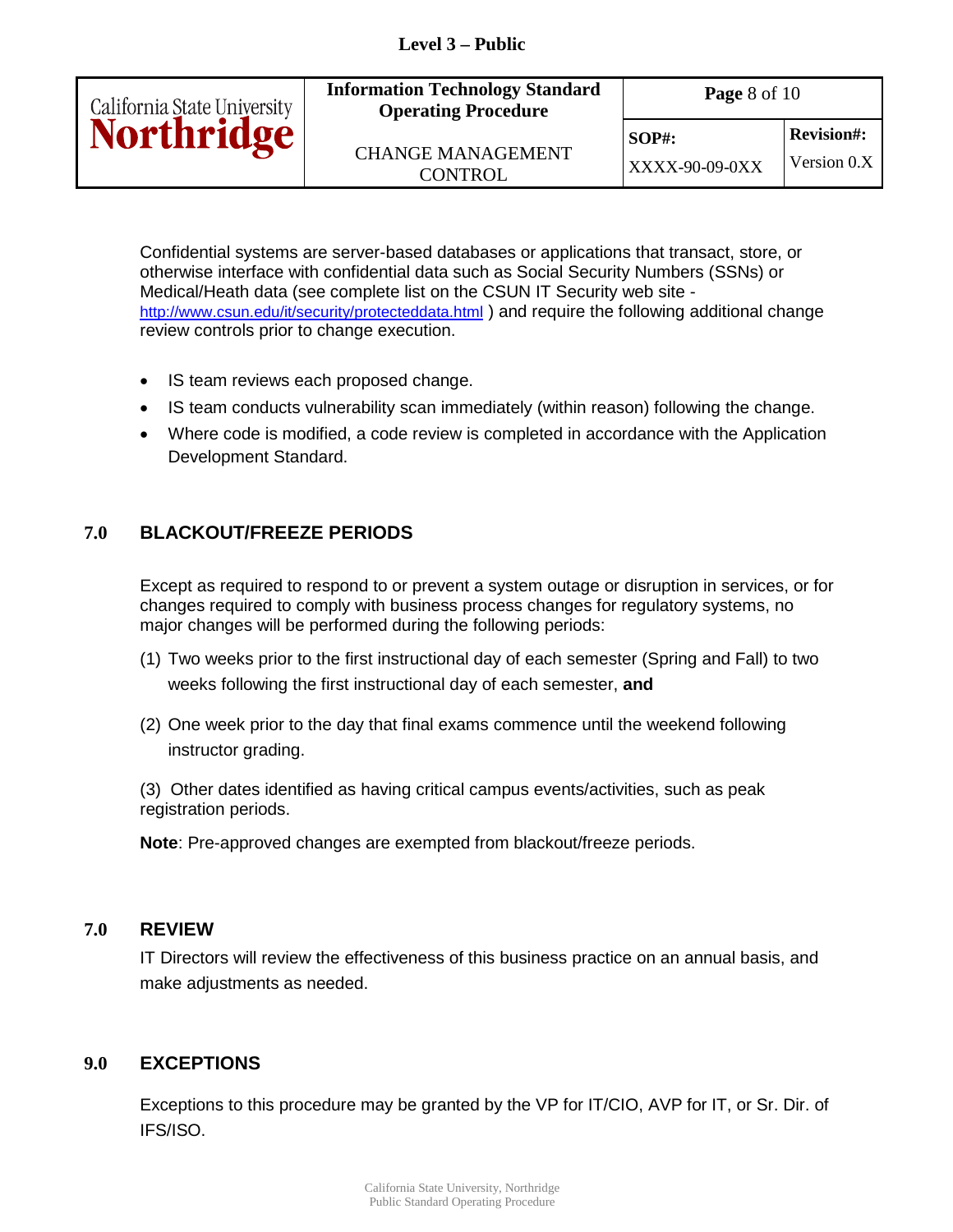

Confidential systems are server-based databases or applications that transact, store, or otherwise interface with confidential data such as Social Security Numbers (SSNs) or Medical/Heath data (see complete list on the CSUN IT Security web site <http://www.csun.edu/it/security/protecteddata.html>) and require the following additional change review controls prior to change execution.

- IS team reviews each proposed change.
- IS team conducts vulnerability scan immediately (within reason) following the change.
- Where code is modified, a code review is completed in accordance with the Application Development Standard.

#### **7.0 BLACKOUT/FREEZE PERIODS**

 Except as required to respond to or prevent a system outage or disruption in services, or for changes required to comply with business process changes for regulatory systems, no major changes will be performed during the following periods:

- (1) Two weeks prior to the first instructional day of each semester (Spring and Fall) to two weeks following the first instructional day of each semester, **and**
- (2) One week prior to the day that final exams commence until the weekend following instructor grading.

 (3) Other dates identified as having critical campus events/activities, such as peak registration periods.

**Note**: Pre-approved changes are exempted from blackout/freeze periods.

#### **7.0 REVIEW**

IT Directors will review the effectiveness of this business practice on an annual basis, and make adjustments as needed.

#### **9.0 EXCEPTIONS**

 Exceptions to this procedure may be granted by the VP for IT/CIO, AVP for IT, or Sr. Dir. of IFS/ISO.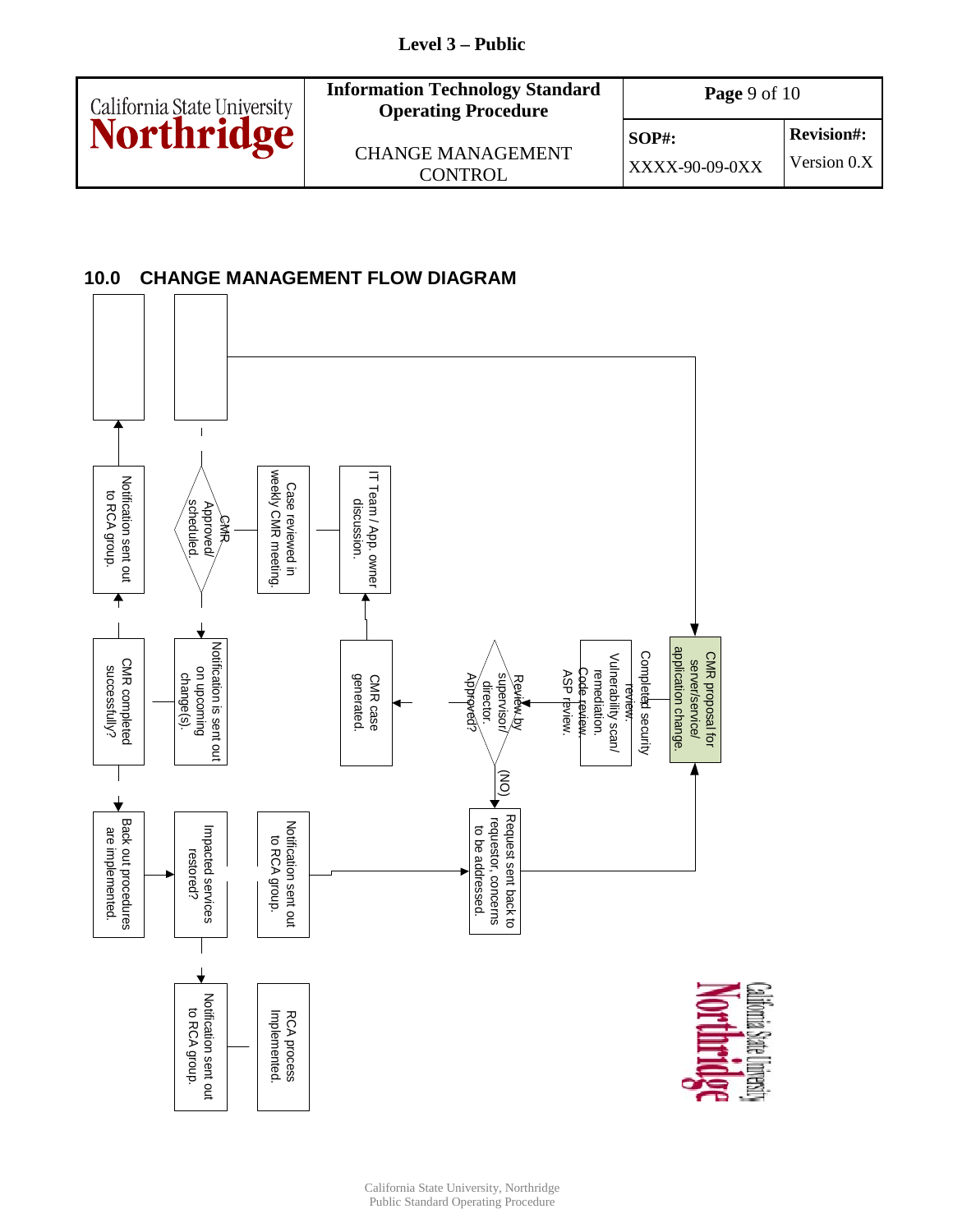

### **10.0 CHANGE MANAGEMENT FLOW DIAGRAM**